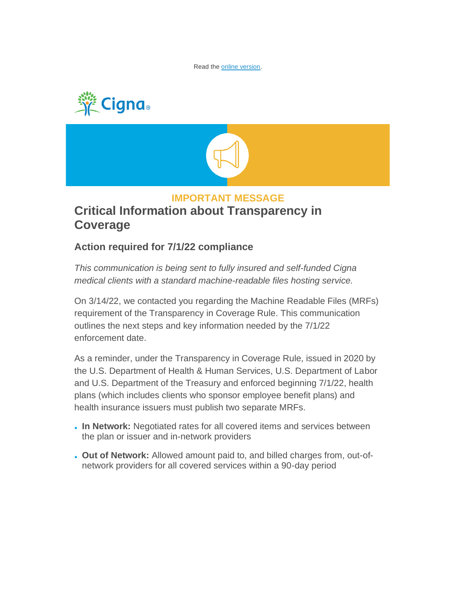Read the [online version.](http://app.connecting.cigna.com/e/es?s=1399&e=576773&elqTrackId=9f18c514ba864dd7bd0f8e7704b3513a&elq=b0d10aa78381418697b4c0d6706a7df8&elqaid=23975&elqat=1)





## **IMPORTANT MESSAGE**

## **Critical Information about Transparency in Coverage**

## **Action required for 7/1/22 compliance**

*This communication is being sent to fully insured and self-funded Cigna medical clients with a standard machine-readable files hosting service.*

On 3/14/22, we contacted you regarding the Machine Readable Files (MRFs) requirement of the Transparency in Coverage Rule. This communication outlines the next steps and key information needed by the 7/1/22 enforcement date.

As a reminder, under the Transparency in Coverage Rule, issued in 2020 by the U.S. Department of Health & Human Services, U.S. Department of Labor and U.S. Department of the Treasury and enforced beginning 7/1/22, health plans (which includes clients who sponsor employee benefit plans) and health insurance issuers must publish two separate MRFs.

- **In Network:** Negotiated rates for all covered items and services between the plan or issuer and in-network providers
- **Out of Network:** Allowed amount paid to, and billed charges from, out-ofnetwork providers for all covered services within a 90-day period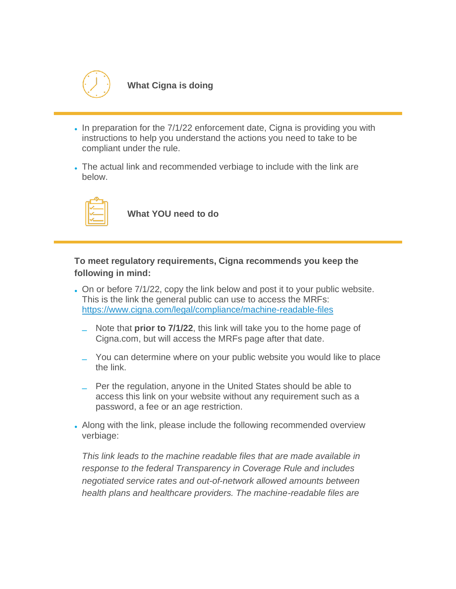

**What Cigna is doing**

- In preparation for the 7/1/22 enforcement date, Cigna is providing you with instructions to help you understand the actions you need to take to be compliant under the rule.
- The actual link and recommended verbiage to include with the link are below.



**What YOU need to do**

**To meet regulatory requirements, Cigna recommends you keep the following in mind:**

- On or before 7/1/22, copy the link below and post it to your public website. This is the link the general public can use to access the MRFs: [https://www.cigna.com/legal/compliance/machine-readable-files](http://app.connecting.cigna.com/e/er?s=1399&lid=18561&elqTrackId=8f2e195a8d57490aa5798a7111e3446e&elq=b0d10aa78381418697b4c0d6706a7df8&elqaid=23975&elqat=1)
	- Note that **prior to 7/1/22**, this link will take you to the home page of Cigna.com, but will access the MRFs page after that date.
	- You can determine where on your public website you would like to place the link.
	- Per the regulation, anyone in the United States should be able to access this link on your website without any requirement such as a password, a fee or an age restriction.
- Along with the link, please include the following recommended overview verbiage:

*This link leads to the machine readable files that are made available in response to the federal Transparency in Coverage Rule and includes negotiated service rates and out-of-network allowed amounts between health plans and healthcare providers. The machine-readable files are*